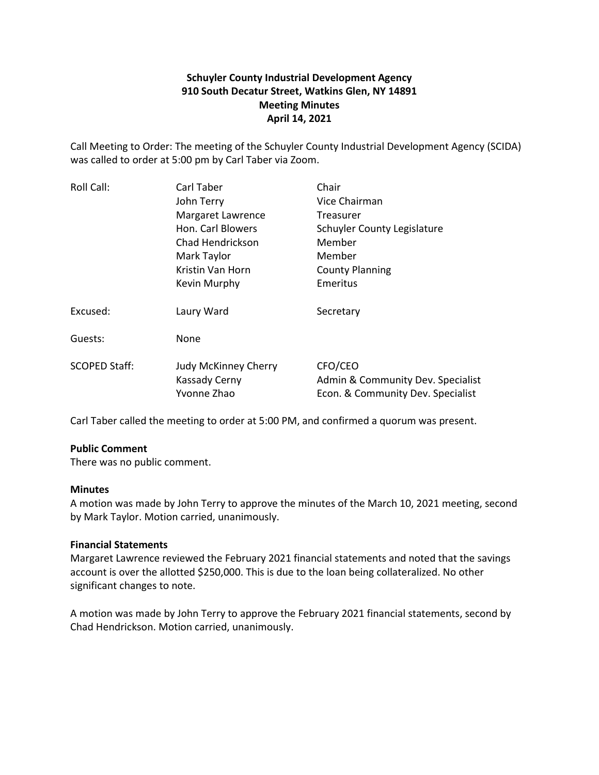# **Schuyler County Industrial Development Agency 910 South Decatur Street, Watkins Glen, NY 14891 Meeting Minutes April 14, 2021**

Call Meeting to Order: The meeting of the Schuyler County Industrial Development Agency (SCIDA) was called to order at 5:00 pm by Carl Taber via Zoom.

| Roll Call:           | Carl Taber                                                         | Chair                                                                             |
|----------------------|--------------------------------------------------------------------|-----------------------------------------------------------------------------------|
|                      | John Terry                                                         | Vice Chairman                                                                     |
|                      | Margaret Lawrence                                                  | <b>Treasurer</b>                                                                  |
|                      | Hon. Carl Blowers                                                  | Schuyler County Legislature                                                       |
|                      | Chad Hendrickson                                                   | Member                                                                            |
|                      | Mark Taylor                                                        | Member                                                                            |
|                      | Kristin Van Horn                                                   | <b>County Planning</b>                                                            |
|                      | Kevin Murphy                                                       | Emeritus                                                                          |
| Excused:             | Laury Ward                                                         | Secretary                                                                         |
| Guests:              | None                                                               |                                                                                   |
| <b>SCOPED Staff:</b> | <b>Judy McKinney Cherry</b><br><b>Kassady Cerny</b><br>Yvonne Zhao | CFO/CEO<br>Admin & Community Dev. Specialist<br>Econ. & Community Dev. Specialist |
|                      |                                                                    |                                                                                   |

Carl Taber called the meeting to order at 5:00 PM, and confirmed a quorum was present.

## **Public Comment**

There was no public comment.

## **Minutes**

A motion was made by John Terry to approve the minutes of the March 10, 2021 meeting, second by Mark Taylor. Motion carried, unanimously.

## **Financial Statements**

Margaret Lawrence reviewed the February 2021 financial statements and noted that the savings account is over the allotted \$250,000. This is due to the loan being collateralized. No other significant changes to note.

A motion was made by John Terry to approve the February 2021 financial statements, second by Chad Hendrickson. Motion carried, unanimously.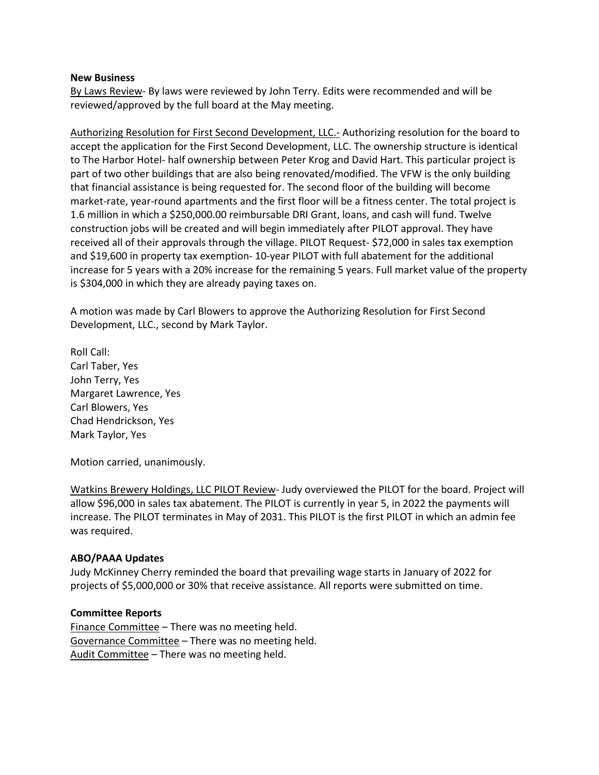#### **New Business**

By Laws Review- By laws were reviewed by John Terry. Edits were recommended and will be reviewed/approved by the full board at the May meeting.

Authorizing Resolution for First Second Development, LLC.- Authorizing resolution for the board to accept the application for the First Second Development, LLC. The ownership structure is identical to The Harbor Hotel- half ownership between Peter Krog and David Hart. This particular project is part of two other buildings that are also being renovated/modified. The VFW is the only building that financial assistance is being requested for. The second floor of the building will become market-rate, year-round apartments and the first floor will be a fitness center. The total project is 1.6 million in which a \$250,000.00 reimbursable DRI Grant, loans, and cash will fund. Twelve construction jobs will be created and will begin immediately after PILOT approval. They have received all of their approvals through the village. PILOT Request- \$72,000 in sales tax exemption and \$19,600 in property tax exemption- 10-year PILOT with full abatement for the additional increase for 5 years with a 20% increase for the remaining 5 years. Full market value of the property is \$304,000 in which they are already paying taxes on.

A motion was made by Carl Blowers to approve the Authorizing Resolution for First Second Development, LLC., second by Mark Taylor.

Roll Call: Carl Taber, Yes John Terry, Yes Margaret Lawrence, Yes Carl Blowers, Yes Chad Hendrickson, Yes Mark Taylor, Yes

Motion carried, unanimously.

Watkins Brewery Holdings, LLC PILOT Review- Judy overviewed the PILOT for the board. Project will allow \$96,000 in sales tax abatement. The PILOT is currently in year 5, in 2022 the payments will increase. The PILOT terminates in May of 2031. This PILOT is the first PILOT in which an admin fee was required.

## **ABO/PAAA Updates**

Judy McKinney Cherry reminded the board that prevailing wage starts in January of 2022 for projects of \$5,000,000 or 30% that receive assistance. All reports were submitted on time.

#### **Committee Reports**

Finance Committee – There was no meeting held. Governance Committee – There was no meeting held. Audit Committee – There was no meeting held.